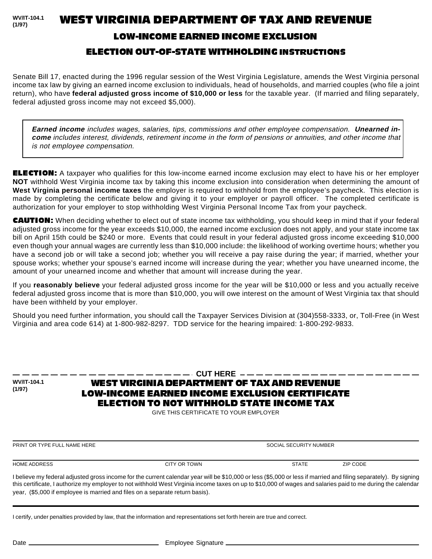**WV/IT-104.1 (1/97)**

WEST VIRGINIA DEPARTMENT OF TAX AND REVENUE

## LOW-INCOME EARNED INCOME EXCLUSION

## ELECTION OUT-OF-STATE WITHHOLDING INSTRUCTIONS

Senate Bill 17, enacted during the 1996 regular session of the West Virginia Legislature, amends the West Virginia personal income tax law by giving an earned income exclusion to individuals, head of households, and married couples (who file a joint return), who have **federal adjusted gross income of \$10,000 or less** for the taxable year. (If married and filing separately, federal adjusted gross income may not exceed \$5,000).

**Earned income** includes wages, salaries, tips, commissions and other employee compensation. **Unearned income** includes interest, dividends, retirement income in the form of pensions or annuities, and other income that is not employee compensation.

ELECTION: A taxpayer who qualifies for this low-income earned income exclusion may elect to have his or her employer **NOT** withhold West Virginia income tax by taking this income exclusion into consideration when determining the amount of **West Virginia personal income taxes** the employer is required to withhold from the employee's paycheck. This election is made by completing the certificate below and giving it to your employer or payroll officer. The completed certificate is authorization for your employer to stop withholding West Virginia Personal Income Tax from your paycheck.

CAUTION: When deciding whether to elect out of state income tax withholding, you should keep in mind that if your federal adjusted gross income for the year exceeds \$10,000, the earned income exclusion does not apply, and your state income tax bill on April 15th could be \$240 or more. Events that could result in your federal adjusted gross income exceeding \$10,000 even though your annual wages are currently less than \$10,000 include: the likelihood of working overtime hours; whether you have a second job or will take a second job; whether you will receive a pay raise during the year; if married, whether your spouse works; whether your spouse's earned income will increase during the year; whether you have unearned income, the amount of your unearned income and whether that amount will increase during the year.

If you **reasonably believe** your federal adjusted gross income for the year will be \$10,000 or less and you actually receive federal adjusted gross income that is more than \$10,000, you will owe interest on the amount of West Virginia tax that should have been withheld by your employer.

Should you need further information, you should call the Taxpayer Services Division at (304)558-3333, or, Toll-Free (in West Virginia and area code 614) at 1-800-982-8297. TDD service for the hearing impaired: 1-800-292-9833.

**WV/IT-104.1 (1/97)**

**----- CUT HERE** ----

## WEST VIRGINIA DEPARTMENT OF TAX AND REVENUE LOW-INCOME EARNED INCOME EXCLUSION CERTIFICATE ELECTION TO NOT WITHHOLD STATE INCOME TAX

GIVE THIS CERTIFICATE TO YOUR EMPLOYER

PRINT OR TYPE FULL NAME HERE SOCIAL SECURITY NUMBER

HOME ADDRESS CITY OR TOWN STATE ZIP CODE

I believe my federal adjusted gross income for the current calendar year will be \$10,000 or less (\$5,000 or less if married and filing separately). By signing this certificate, I authorize my employer to not withhold West Virginia income taxes on up to \$10,000 of wages and salaries paid to me during the calendar year, (\$5,000 if employee is married and files on a separate return basis).

I certify, under penalties provided by law, that the information and representations set forth herein are true and correct.